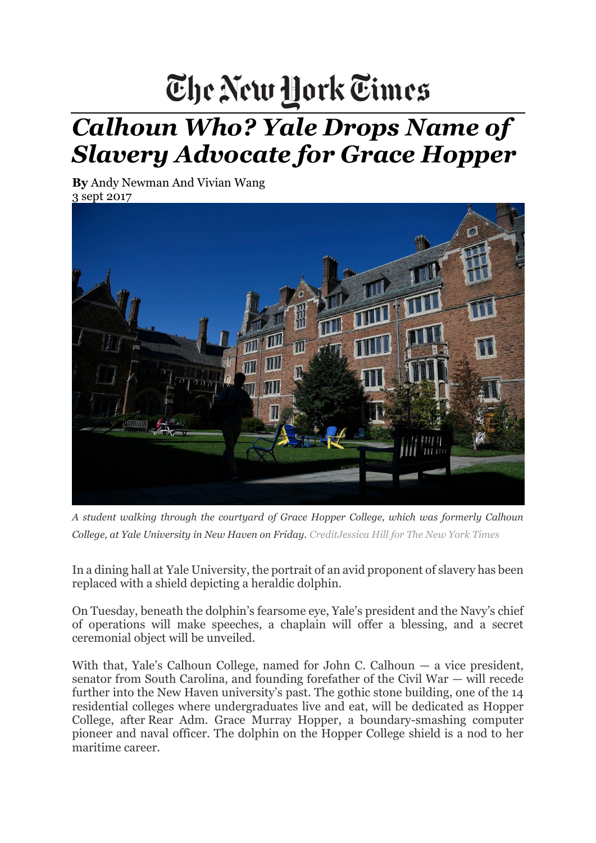## The New Hork Times

## *Calhoun Who? Yale Drops Name of Slavery Advocate for Grace Hopper*

**By** [Andy Newman](https://www.nytimes.com/by/andy-newman) And Vivian Wang 3 sept 2017



*A student walking through the courtyard of Grace Hopper College, which was formerly Calhoun College, at Yale University in New Haven on Friday. CreditJessica Hill for The New York Times*

In a dining hall at Yale University, the portrait of an avid proponent of slavery has been replaced with a shield depicting a heraldic dolphin.

On Tuesday, beneath the dolphin's fearsome eye, Yale's president and the Navy's chief of operations will make speeches, a chaplain will offer a blessing, and a secret ceremonial object will be unveiled.

With that, Yale's Calhoun College, named for John C. Calhoun — a vice president, senator from South Carolina, and founding forefather of the Civil War — will recede further into the New Haven university's past. The gothic stone building, one of the 14 residential colleges where undergraduates live and eat, will be dedicated as Hopper College, after Rear Adm. Grace Murray Hopper, a boundary-smashing computer pioneer and naval officer. The dolphin on the Hopper College shield is a nod to her maritime career.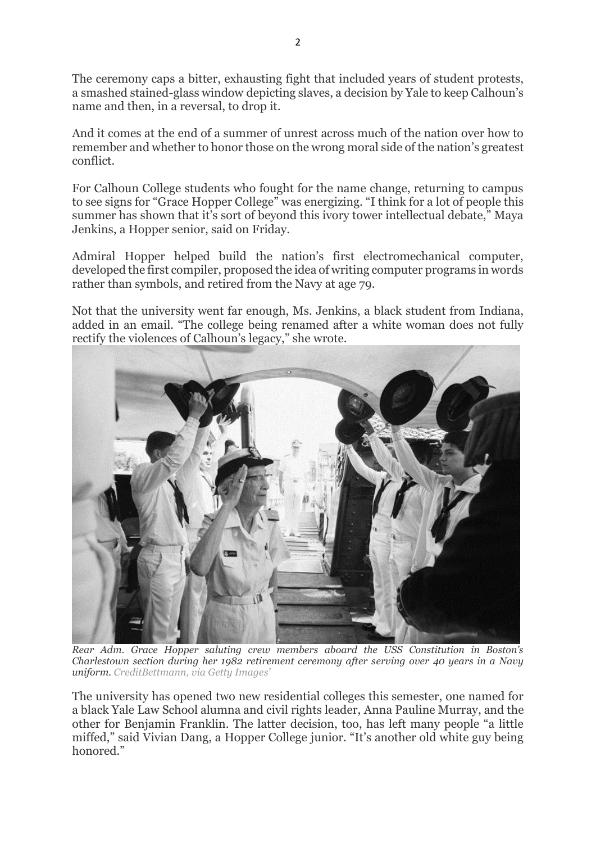The ceremony caps a bitter, exhausting fight that included years of student protests, a smashed stained-glass window depicting slaves, a decision by Yale to keep Calhoun's name and then, in a reversal, to drop it.

And it comes at the end of a summer of unrest across much of the nation over how to remember and whether to honor those on the wrong moral side of the nation's greatest conflict.

For Calhoun College students who fought for the name change, returning to campus to see signs for "Grace Hopper College" was energizing. "I think for a lot of people this summer has shown that it's sort of beyond this ivory tower intellectual debate." Maya Jenkins, a Hopper senior, said on Friday.

Admiral Hopper helped build the nation's first electromechanical computer, developed the first compiler, proposed the idea of writing computer programs in words rather than symbols, and retired from the Navy at age 79.

Not that the university went far enough, Ms. Jenkins, a black student from Indiana, added in an email. "The college being renamed after a white woman does not fully rectify the violences of Calhoun's legacy," she wrote.



*Rear Adm. Grace Hopper saluting crew members aboard the USS Constitution in Boston's Charlestown section during her 1982 retirement ceremony after serving over 40 years in a Navy uniform. CreditBettmann, via Getty Images'*

The university has opened two new residential colleges this semester, one named for a black Yale Law School alumna and civil rights leader, Anna Pauline Murray, and the other for Benjamin Franklin. The latter decision, too, has left many people "a little miffed," said Vivian Dang, a Hopper College junior. "It's another old white guy being honored."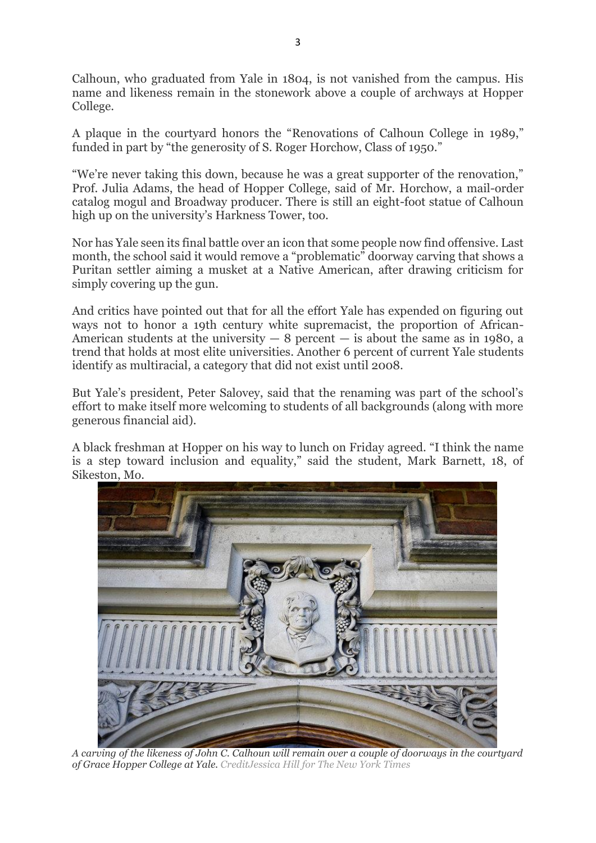Calhoun, who graduated from Yale in 1804, is not vanished from the campus. His name and likeness remain in the stonework above a couple of archways at Hopper College.

A plaque in the courtyard honors the "Renovations of Calhoun College in 1989," funded in part by "the generosity of S. Roger Horchow, Class of 1950."

"We're never taking this down, because he was a great supporter of the renovation," Prof. Julia Adams, the head of Hopper College, said of Mr. Horchow, a mail-order catalog mogul and Broadway producer. There is still an eight-foot statue of Calhoun high up on the university's Harkness Tower, too.

Nor has Yale seen its final battle over an icon that some people now find offensive. Last month, the school said it would remove a "problematic" doorway carving that shows a Puritan settler aiming a musket at a Native American, after drawing criticism for simply covering up the gun.

And critics have pointed out that for all the effort Yale has expended on figuring out ways not to honor a 19th century white supremacist, the proportion of African-American students at the university  $-8$  percent  $-$  is about the same as in 1980, a trend that holds at most elite universities. Another 6 percent of current Yale students identify as multiracial, a category that did not exist until 2008.

But Yale's president, Peter Salovey, said that the renaming was part of the school's effort to make itself more welcoming to students of all backgrounds (along with more generous financial aid).

A black freshman at Hopper on his way to lunch on Friday agreed. "I think the name is a step toward inclusion and equality," said the student, Mark Barnett, 18, of Sikeston, Mo.



*A carving of the likeness of John C. Calhoun will remain over a couple of doorways in the courtyard of Grace Hopper College at Yale. CreditJessica Hill for The New York Times*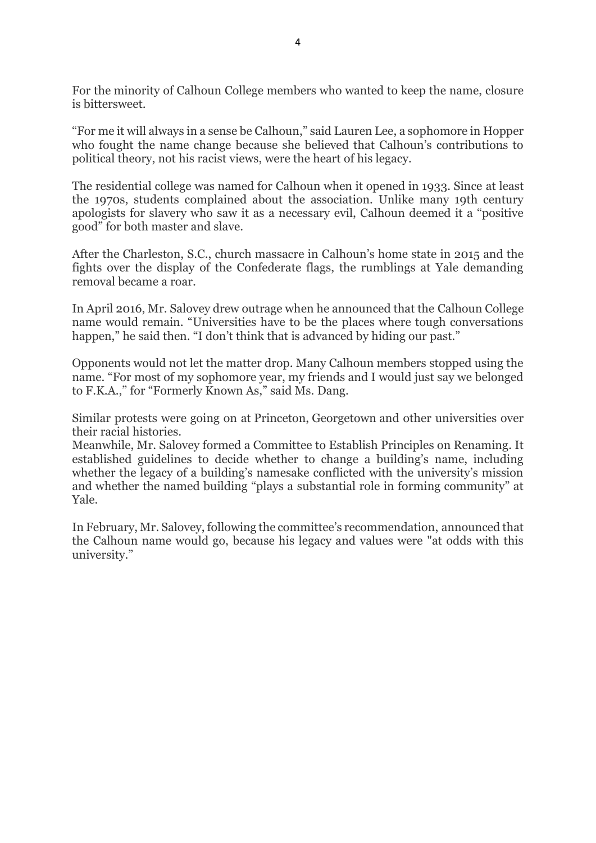For the minority of Calhoun College members who wanted to keep the name, closure is bittersweet.

"For me it will always in a sense be Calhoun," said Lauren Lee, a sophomore in Hopper who fought the name change because she believed that Calhoun's contributions to political theory, not his racist views, were the heart of his legacy.

The residential college was named for Calhoun when it opened in 1933. Since at least the 1970s, students complained about the association. Unlike many 19th century apologists for slavery who saw it as a necessary evil, Calhoun deemed it a "positive good" for both master and slave.

After the Charleston, S.C., church massacre in Calhoun's home state in 2015 and the fights over the display of the Confederate flags, the rumblings at Yale demanding removal became a roar*.*

In April 2016, Mr. Salovey drew outrage when he announced that the Calhoun College name would remain. "Universities have to be the places where tough conversations happen," he said then. "I don't think that is advanced by hiding our past."

Opponents would not let the matter drop. Many Calhoun members stopped using the name. "For most of my sophomore year, my friends and I would just say we belonged to F.K.A.," for "Formerly Known As," said Ms. Dang.

Similar protests were going on at Princeton, Georgetown and other universities over their racial histories.

Meanwhile, Mr. Salovey formed a Committee to Establish Principles on Renaming. It established guidelines to decide whether to change a building's name, including whether the legacy of a building's namesake conflicted with the university's mission and whether the named building "plays a substantial role in forming community" at Yale.

In February, Mr. Salovey, following the committee's recommendation, announced that the Calhoun name would go, because his legacy and values were "at odds with this university."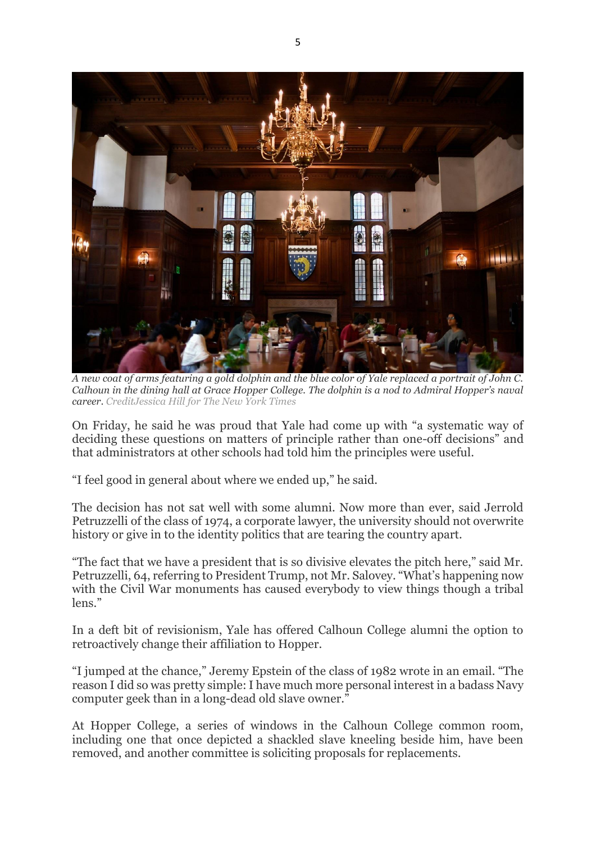

*A new coat of arms featuring a gold dolphin and the blue color of Yale replaced a portrait of John C. Calhoun in the dining hall at Grace Hopper College. The dolphin is a nod to Admiral Hopper's naval career. CreditJessica Hill for The New York Times*

On Friday, he said he was proud that Yale had come up with "a systematic way of deciding these questions on matters of principle rather than one-off decisions" and that administrators at other schools had told him the principles were useful.

"I feel good in general about where we ended up," he said.

The decision has not sat well with some alumni. Now more than ever, said Jerrold Petruzzelli of the class of 1974, a corporate lawyer, the university should not overwrite history or give in to the identity politics that are tearing the country apart.

"The fact that we have a president that is so divisive elevates the pitch here," said Mr. Petruzzelli, 64, referring to President Trump, not Mr. Salovey. "What's happening now with the Civil War monuments has caused everybody to view things though a tribal lens."

In a deft bit of revisionism, Yale has offered Calhoun College alumni the option to retroactively change their affiliation to Hopper.

"I jumped at the chance," Jeremy Epstein of the class of 1982 wrote in an email. "The reason I did so was pretty simple: I have much more personal interest in a badass Navy computer geek than in a long-dead old slave owner."

At Hopper College, a series of windows in the Calhoun College common room, including one that once depicted a shackled slave kneeling beside him, have been removed, and another committee is soliciting proposals for replacements.